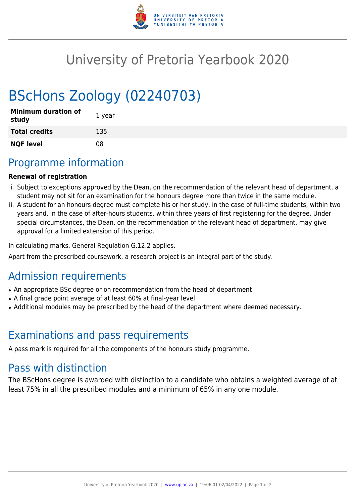

## University of Pretoria Yearbook 2020

# BScHons Zoology (02240703)

| <b>Minimum duration of</b><br>study | 1 year |
|-------------------------------------|--------|
| <b>Total credits</b>                | 135    |
| <b>NQF level</b>                    | 08     |

## Programme information

#### **Renewal of registration**

- i. Subject to exceptions approved by the Dean, on the recommendation of the relevant head of department, a student may not sit for an examination for the honours degree more than twice in the same module.
- ii. A student for an honours degree must complete his or her study, in the case of full-time students, within two years and, in the case of after-hours students, within three years of first registering for the degree. Under special circumstances, the Dean, on the recommendation of the relevant head of department, may give approval for a limited extension of this period.

In calculating marks, General Regulation G.12.2 applies.

Apart from the prescribed coursework, a research project is an integral part of the study.

## Admission requirements

- An appropriate BSc degree or on recommendation from the head of department
- A final grade point average of at least 60% at final-year level
- Additional modules may be prescribed by the head of the department where deemed necessary.

## Examinations and pass requirements

A pass mark is required for all the components of the honours study programme.

## Pass with distinction

The BScHons degree is awarded with distinction to a candidate who obtains a weighted average of at least 75% in all the prescribed modules and a minimum of 65% in any one module.